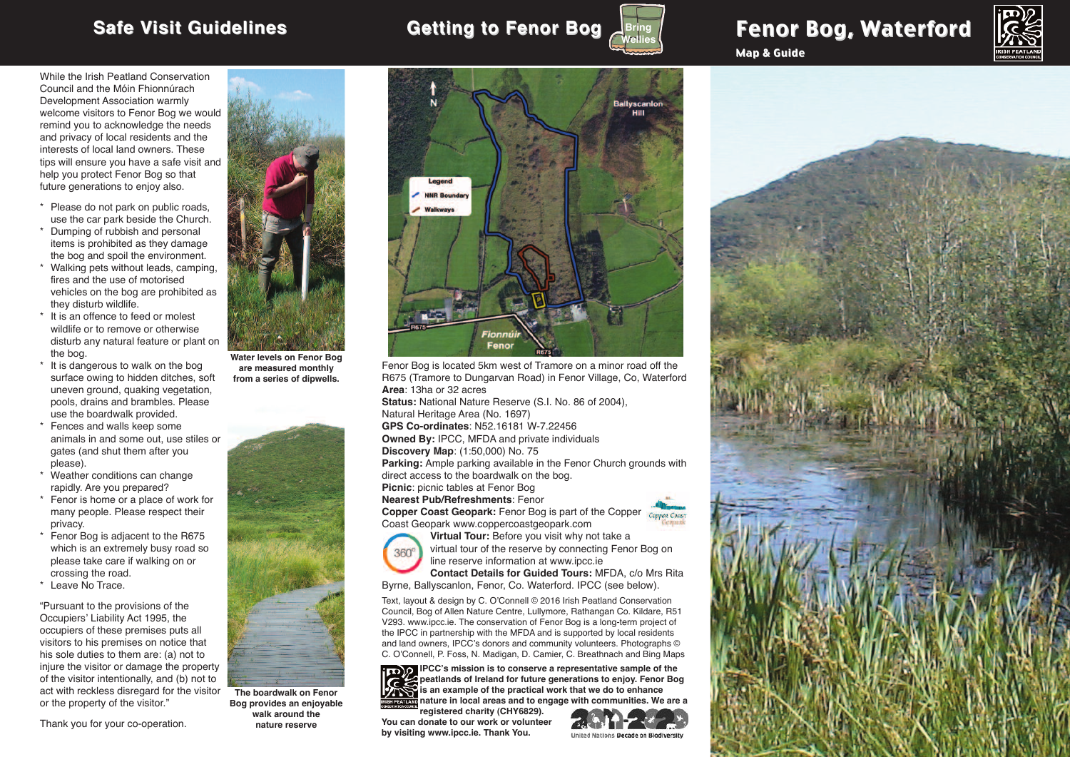



Map & Guide



While the Irish Peatland Conservation Council and the Móin Fhionnúrach Development Association warmly welcome visitors to Fenor Bog we would remind you to acknowledge the needs and privacy of local residents and the interests of local land owners. These tips will ensure you have a safe visit and help you protect Fenor Bog so that future generations to enjoy also.

- \* Please do not park on public roads, use the car park beside the Church.
- \* Dumping of rubbish and personal items is prohibited as they damage the bog and spoil the environment.
- \* Walking pets without leads, camping, fires and the use of motorised vehicles on the bog are prohibited as they disturb wildlife.
- \* It is an offence to feed or molest wildlife or to remove or otherwise disturb any natural feature or plant on the bog.
- It is dangerous to walk on the bog surface owing to hidden ditches, soft uneven ground, quaking vegetation, pools, drains and brambles. Please use the boardwalk provided.
- Fences and walls keep some animals in and some out, use stiles or gates (and shut them after you please).
- Weather conditions can change rapidly. Are you prepared?
- \* Fenor is home or a place of work for many people. Please respect their privacy.
- \* Fenor Bog is adjacent to the R675 which is an extremely busy road so please take care if walking on or crossing the road.
- \* Leave No Trace.

"Pursuant to the provisions of the Occupiers' Liability Act 1995, the occupiers of these premises puts all visitors to his premises on notice that his sole duties to them are: (a) not to injure the visitor or damage the property of the visitor intentionally, and (b) not to act with reckless disregard for the visitor or the property of the visitor."

Thank you for your co-operation.



**Water levels on Fenor Bog are measured monthly from a series of dipwells.**



**The boardwalk on Fenor Bog provides an enjoyable walk around the nature reserve**



Fenor Bog is located 5km west of Tramore on a minor road off the R675 (Tramore to Dungarvan Road) in Fenor Village, Co, Waterford **Area**: 13ha or 32 acres **Status:** National Nature Reserve (S.I. No. 86 of 2004), Natural Heritage Area (No. 1697) **GPS Co-ordinates**: N52.16181 W-7.22456 **Owned By:** IPCC, MFDA and private individuals **Discovery Map**: (1:50,000) No. 75 **Parking:** Ample parking available in the Fenor Church grounds with

direct access to the boardwalk on the bog. **Picnic**: picnic tables at Fenor Bog

**Nearest Pub/Refreshments**: Fenor

**Copper Coast Geopark:** Fenor Bog is part of the Copper Conner Coast Coast Geopark www.coppercoastgeopark.com



**Virtual Tour:** Before you visit why not take a virtual tour of the reserve by connecting Fenor Bog on line reserve information at www.ipcc.ie

**Contact Details for Guided Tours:** MFDA, c/o Mrs Rita Byrne, Ballyscanlon, Fenor, Co. Waterford. IPCC (see below).

Text, layout & design by C. O'Connell © 2016 Irish Peatland Conservation Council, Bog of Allen Nature Centre, Lullymore, Rathangan Co. Kildare, R51 V293. www.ipcc.ie. The conservation of Fenor Bog is a long-term project of the IPCC in partnership with the MFDA and is supported by local residents and land owners, IPCC's donors and community volunteers. Photographs © C. O'Connell, P. Foss, N. Madigan, D. Camier, C. Breathnach and Bing Maps



**IPCC's mission is to conserve a representative sample of the peatlands of Ireland for future generations to enjoy. Fenor Bog is an example of the practical work that we do to enhance nature in local areas and to engage with communities. We are a**

**registered charity (CHY6829). You can donate to our work or volunteer by visiting www.ipcc.ie. Thank You.**



**United Nations Decade on Biodiversity**